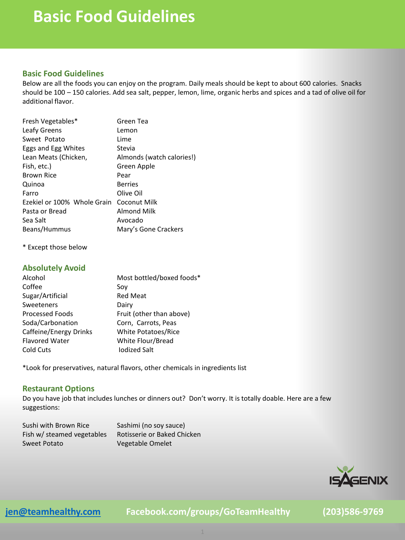### **Basic Food Guidelines**

### **Basic Food Guidelines**

Below are all the foods you can enjoy on the program. Daily meals should be kept to about 600 calories. Snacks should be 100 – 150 calories. Add sea salt, pepper, lemon, lime, organic herbs and spices and a tad of olive oil for additional flavor.

| Fresh Vegetables*           | Green Tea                 |
|-----------------------------|---------------------------|
| Leafy Greens                | Lemon                     |
| Sweet Potato                | Lime                      |
| Eggs and Egg Whites         | Stevia                    |
| Lean Meats (Chicken,        | Almonds (watch calories!) |
| Fish, etc.)                 | Green Apple               |
| Brown Rice                  | Pear                      |
| Quinoa                      | Berries                   |
| Farro                       | Olive Oil                 |
| Ezekiel or 100% Whole Grain | Coconut Milk              |
| Pasta or Bread              | Almond Milk               |
| Sea Salt                    | Avocado                   |
| Beans/Hummus                | Mary's Gone Crackers      |
|                             |                           |

\* Except those below

### **Absolutely Avoid**

| Alcohol                | Most bottled/boxed foods*  |
|------------------------|----------------------------|
| Coffee                 | Sov                        |
| Sugar/Artificial       | <b>Red Meat</b>            |
| Sweeteners             | Dairy                      |
| <b>Processed Foods</b> | Fruit (other than above)   |
| Soda/Carbonation       | Corn, Carrots, Peas        |
| Caffeine/Energy Drinks | <b>White Potatoes/Rice</b> |
| <b>Flavored Water</b>  | White Flour/Bread          |
| Cold Cuts              | <b>Iodized Salt</b>        |

\*Look for preservatives, natural flavors, other chemicals in ingredients list

### **Restaurant Options**

Do you have job that includes lunches or dinners out? Don't worry. It is totally doable. Here are a few suggestions:

| Sushi with Brown Rice      | Sashimi (no soy sauce)      |
|----------------------------|-----------------------------|
| Fish w/ steamed vegetables | Rotisserie or Baked Chicken |
| Sweet Potato               | Vegetable Omelet            |



**[jen@teamhealthy.com](mailto:jen@teamhealthy.com) Facebook.com/groups/GoTeamHealthy (203)586-9769**